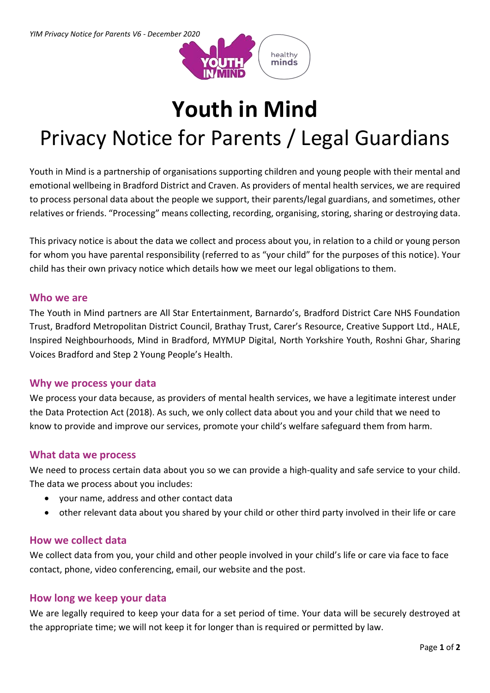

# **Youth in Mind**

## Privacy Notice for Parents / Legal Guardians

Youth in Mind is a partnership of organisations supporting children and young people with their mental and emotional wellbeing in Bradford District and Craven. As providers of mental health services, we are required to process personal data about the people we support, their parents/legal guardians, and sometimes, other relatives or friends. "Processing" means collecting, recording, organising, storing, sharing or destroying data.

This privacy notice is about the data we collect and process about you, in relation to a child or young person for whom you have parental responsibility (referred to as "your child" for the purposes of this notice). Your child has their own privacy notice which details how we meet our legal obligations to them.

## **Who we are**

The Youth in Mind partners are All Star Entertainment, Barnardo's, Bradford District Care NHS Foundation Trust, Bradford Metropolitan District Council, Brathay Trust, Carer's Resource, Creative Support Ltd., HALE, Inspired Neighbourhoods, Mind in Bradford, MYMUP Digital, North Yorkshire Youth, Roshni Ghar, Sharing Voices Bradford and Step 2 Young People's Health.

## **Why we process your data**

We process your data because, as providers of mental health services, we have a legitimate interest under the Data Protection Act (2018). As such, we only collect data about you and your child that we need to know to provide and improve our services, promote your child's welfare safeguard them from harm.

## **What data we process**

We need to process certain data about you so we can provide a high-quality and safe service to your child. The data we process about you includes:

- your name, address and other contact data
- other relevant data about you shared by your child or other third party involved in their life or care

#### **How we collect data**

We collect data from you, your child and other people involved in your child's life or care via face to face contact, phone, video conferencing, email, our website and the post.

#### **How long we keep your data**

We are legally required to keep your data for a set period of time. Your data will be securely destroyed at the appropriate time; we will not keep it for longer than is required or permitted by law.